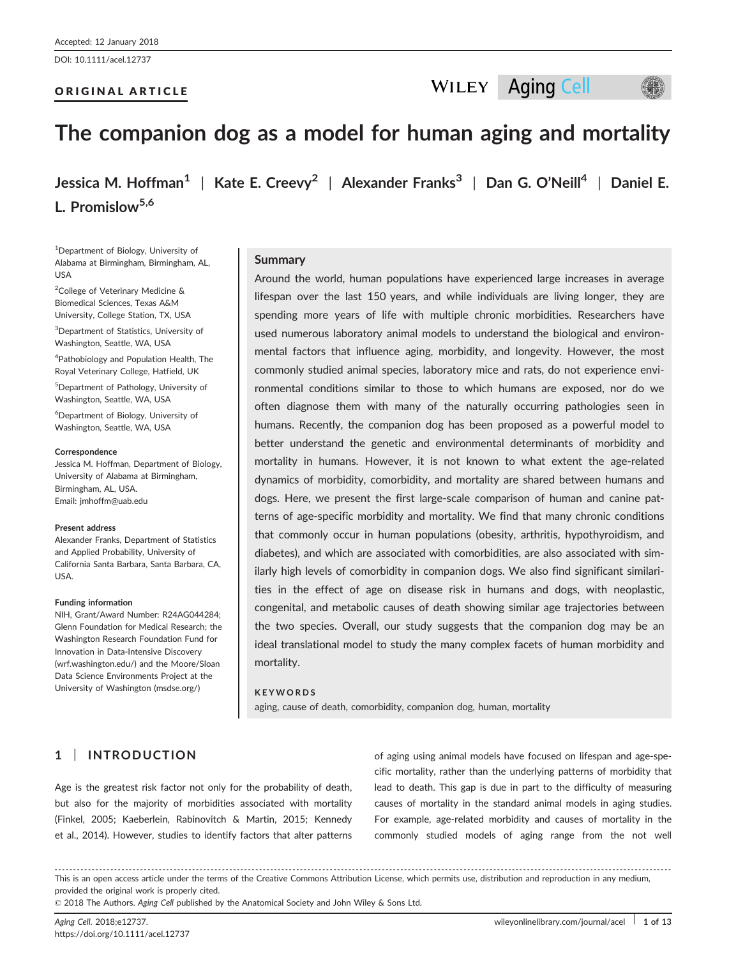DOI: 10.1111/acel.12737

### ORIGINAL ARTICLE

# The companion dog as a model for human aging and mortality

Jessica M. Hoffman<sup>1</sup> | Kate E. Creevy<sup>2</sup> | Alexander Franks<sup>3</sup> | Dan G. O'Neill<sup>4</sup> | Daniel E. L. Promislow<sup>5,6</sup>

1 Department of Biology, University of Alabama at Birmingham, Birmingham, AL, USA

<sup>2</sup>College of Veterinary Medicine & Biomedical Sciences, Texas A&M University, College Station, TX, USA

3 Department of Statistics, University of Washington, Seattle, WA, USA

4 Pathobiology and Population Health, The Royal Veterinary College, Hatfield, UK

5 Department of Pathology, University of Washington, Seattle, WA, USA

6 Department of Biology, University of Washington, Seattle, WA, USA

#### **Correspondence**

Jessica M. Hoffman, Department of Biology, University of Alabama at Birmingham, Birmingham, AL, USA. Email: jmhoffm@uab.edu

#### Present address

Alexander Franks, Department of Statistics and Applied Probability, University of California Santa Barbara, Santa Barbara, CA, USA.

#### Funding information

NIH, Grant/Award Number: R24AG044284; Glenn Foundation for Medical Research; the Washington Research Foundation Fund for Innovation in Data-Intensive Discovery (wrf.washington.edu/) and the Moore/Sloan Data Science Environments Project at the University of Washington (msdse.org/)

#### **Summary**

Around the world, human populations have experienced large increases in average lifespan over the last 150 years, and while individuals are living longer, they are spending more years of life with multiple chronic morbidities. Researchers have used numerous laboratory animal models to understand the biological and environmental factors that influence aging, morbidity, and longevity. However, the most commonly studied animal species, laboratory mice and rats, do not experience environmental conditions similar to those to which humans are exposed, nor do we often diagnose them with many of the naturally occurring pathologies seen in humans. Recently, the companion dog has been proposed as a powerful model to better understand the genetic and environmental determinants of morbidity and mortality in humans. However, it is not known to what extent the age-related dynamics of morbidity, comorbidity, and mortality are shared between humans and dogs. Here, we present the first large-scale comparison of human and canine patterns of age-specific morbidity and mortality. We find that many chronic conditions that commonly occur in human populations (obesity, arthritis, hypothyroidism, and diabetes), and which are associated with comorbidities, are also associated with similarly high levels of comorbidity in companion dogs. We also find significant similarities in the effect of age on disease risk in humans and dogs, with neoplastic, congenital, and metabolic causes of death showing similar age trajectories between the two species. Overall, our study suggests that the companion dog may be an ideal translational model to study the many complex facets of human morbidity and mortality.

### **KEYWORDS**

aging, cause of death, comorbidity, companion dog, human, mortality

### 1 | INTRODUCTION

Age is the greatest risk factor not only for the probability of death, but also for the majority of morbidities associated with mortality (Finkel, 2005; Kaeberlein, Rabinovitch & Martin, 2015; Kennedy et al., 2014). However, studies to identify factors that alter patterns of aging using animal models have focused on lifespan and age-specific mortality, rather than the underlying patterns of morbidity that lead to death. This gap is due in part to the difficulty of measuring causes of mortality in the standard animal models in aging studies. For example, age-related morbidity and causes of mortality in the commonly studied models of aging range from the not well

------------------------------------------------------------------------------------------------------------------------------- --------------------------------------- This is an open access article under the terms of the [Creative Commons Attribution](http://creativecommons.org/licenses/by/4.0/) License, which permits use, distribution and reproduction in any medium, provided the original work is properly cited.

© 2018 The Authors. Aging Cell published by the Anatomical Society and John Wiley & Sons Ltd.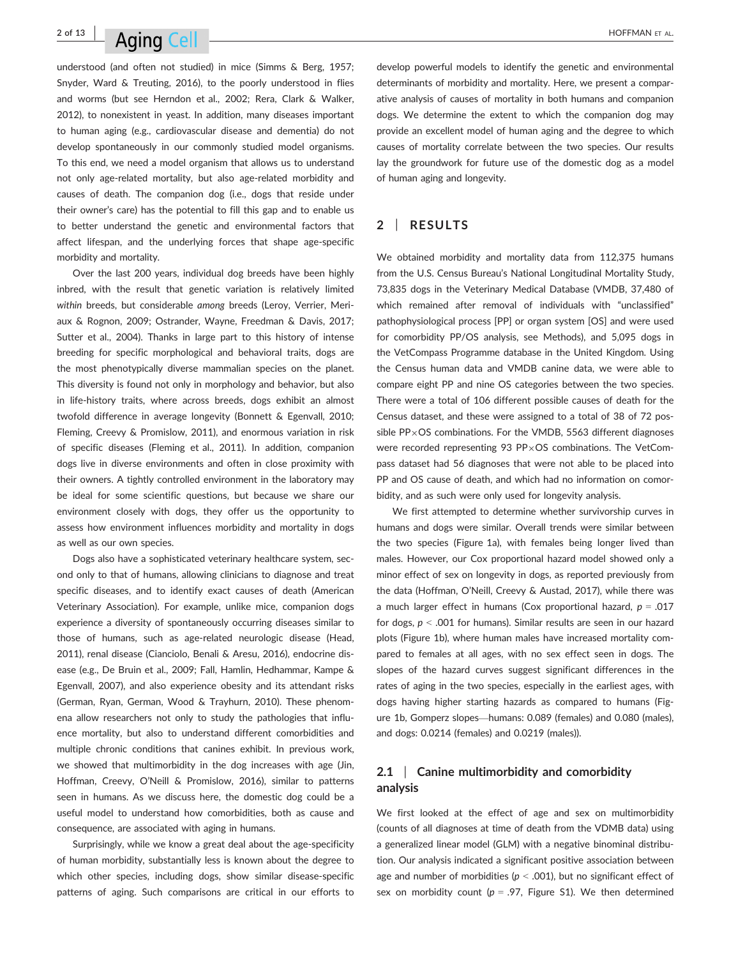# $^{2 \text{ of } 13}$  Aging Coll  $\sim$

understood (and often not studied) in mice (Simms & Berg, 1957; Snyder, Ward & Treuting, 2016), to the poorly understood in flies and worms (but see Herndon et al., 2002; Rera, Clark & Walker, 2012), to nonexistent in yeast. In addition, many diseases important to human aging (e.g., cardiovascular disease and dementia) do not develop spontaneously in our commonly studied model organisms. To this end, we need a model organism that allows us to understand not only age-related mortality, but also age-related morbidity and causes of death. The companion dog (i.e., dogs that reside under their owner's care) has the potential to fill this gap and to enable us to better understand the genetic and environmental factors that affect lifespan, and the underlying forces that shape age-specific morbidity and mortality.

Over the last 200 years, individual dog breeds have been highly inbred, with the result that genetic variation is relatively limited within breeds, but considerable among breeds (Leroy, Verrier, Meriaux & Rognon, 2009; Ostrander, Wayne, Freedman & Davis, 2017; Sutter et al., 2004). Thanks in large part to this history of intense breeding for specific morphological and behavioral traits, dogs are the most phenotypically diverse mammalian species on the planet. This diversity is found not only in morphology and behavior, but also in life-history traits, where across breeds, dogs exhibit an almost twofold difference in average longevity (Bonnett & Egenvall, 2010; Fleming, Creevy & Promislow, 2011), and enormous variation in risk of specific diseases (Fleming et al., 2011). In addition, companion dogs live in diverse environments and often in close proximity with their owners. A tightly controlled environment in the laboratory may be ideal for some scientific questions, but because we share our environment closely with dogs, they offer us the opportunity to assess how environment influences morbidity and mortality in dogs as well as our own species.

Dogs also have a sophisticated veterinary healthcare system, second only to that of humans, allowing clinicians to diagnose and treat specific diseases, and to identify exact causes of death (American Veterinary Association). For example, unlike mice, companion dogs experience a diversity of spontaneously occurring diseases similar to those of humans, such as age-related neurologic disease (Head, 2011), renal disease (Cianciolo, Benali & Aresu, 2016), endocrine disease (e.g., De Bruin et al., 2009; Fall, Hamlin, Hedhammar, Kampe & Egenvall, 2007), and also experience obesity and its attendant risks (German, Ryan, German, Wood & Trayhurn, 2010). These phenomena allow researchers not only to study the pathologies that influence mortality, but also to understand different comorbidities and multiple chronic conditions that canines exhibit. In previous work, we showed that multimorbidity in the dog increases with age (Jin, Hoffman, Creevy, O'Neill & Promislow, 2016), similar to patterns seen in humans. As we discuss here, the domestic dog could be a useful model to understand how comorbidities, both as cause and consequence, are associated with aging in humans.

Surprisingly, while we know a great deal about the age-specificity of human morbidity, substantially less is known about the degree to which other species, including dogs, show similar disease-specific patterns of aging. Such comparisons are critical in our efforts to develop powerful models to identify the genetic and environmental determinants of morbidity and mortality. Here, we present a comparative analysis of causes of mortality in both humans and companion dogs. We determine the extent to which the companion dog may provide an excellent model of human aging and the degree to which causes of mortality correlate between the two species. Our results lay the groundwork for future use of the domestic dog as a model of human aging and longevity.

### 2 | RESULTS

We obtained morbidity and mortality data from 112,375 humans from the U.S. Census Bureau's National Longitudinal Mortality Study, 73,835 dogs in the Veterinary Medical Database (VMDB, 37,480 of which remained after removal of individuals with "unclassified" pathophysiological process [PP] or organ system [OS] and were used for comorbidity PP/OS analysis, see Methods), and 5,095 dogs in the VetCompass Programme database in the United Kingdom. Using the Census human data and VMDB canine data, we were able to compare eight PP and nine OS categories between the two species. There were a total of 106 different possible causes of death for the Census dataset, and these were assigned to a total of 38 of 72 possible PP $\times$ OS combinations. For the VMDB, 5563 different diagnoses were recorded representing 93 PP $\times$ OS combinations. The VetCompass dataset had 56 diagnoses that were not able to be placed into PP and OS cause of death, and which had no information on comorbidity, and as such were only used for longevity analysis.

We first attempted to determine whether survivorship curves in humans and dogs were similar. Overall trends were similar between the two species (Figure 1a), with females being longer lived than males. However, our Cox proportional hazard model showed only a minor effect of sex on longevity in dogs, as reported previously from the data (Hoffman, O'Neill, Creevy & Austad, 2017), while there was a much larger effect in humans (Cox proportional hazard,  $p = .017$ for dogs,  $p < .001$  for humans). Similar results are seen in our hazard plots (Figure 1b), where human males have increased mortality compared to females at all ages, with no sex effect seen in dogs. The slopes of the hazard curves suggest significant differences in the rates of aging in the two species, especially in the earliest ages, with dogs having higher starting hazards as compared to humans (Figure 1b, Gomperz slopes—humans: 0.089 (females) and 0.080 (males), and dogs: 0.0214 (females) and 0.0219 (males)).

### 2.1 Canine multimorbidity and comorbidity analysis

We first looked at the effect of age and sex on multimorbidity (counts of all diagnoses at time of death from the VDMB data) using a generalized linear model (GLM) with a negative binominal distribution. Our analysis indicated a significant positive association between age and number of morbidities ( $p < .001$ ), but no significant effect of sex on morbidity count ( $p = .97$ , Figure S1). We then determined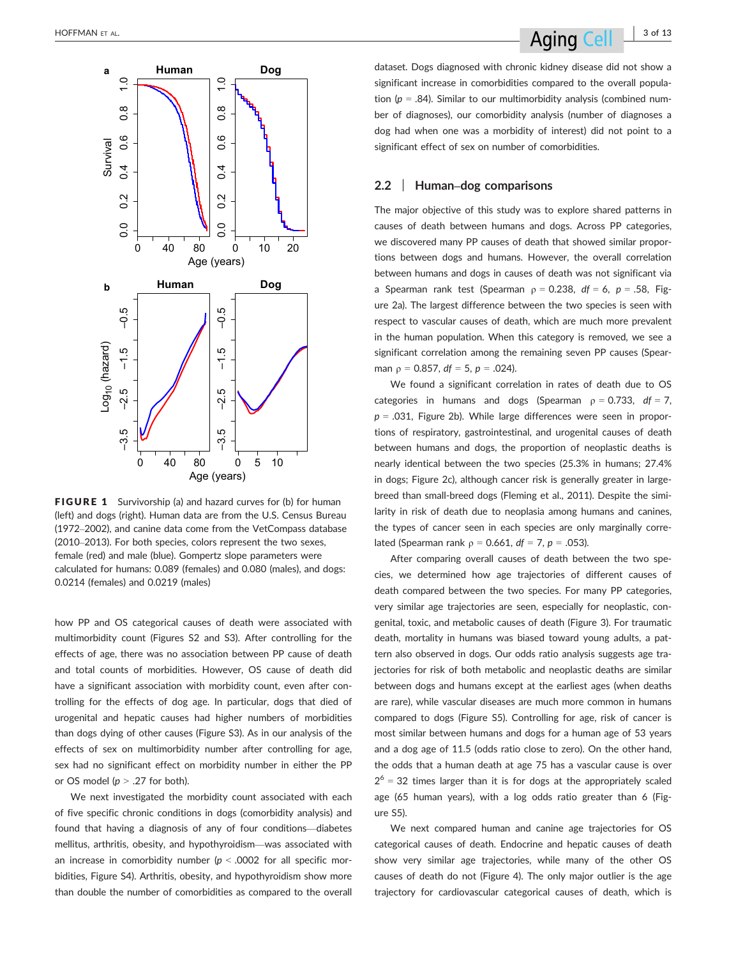

FIGURE 1 Survivorship (a) and hazard curves for (b) for human (left) and dogs (right). Human data are from the U.S. Census Bureau (1972–2002), and canine data come from the VetCompass database (2010–2013). For both species, colors represent the two sexes, female (red) and male (blue). Gompertz slope parameters were calculated for humans: 0.089 (females) and 0.080 (males), and dogs: 0.0214 (females) and 0.0219 (males)

how PP and OS categorical causes of death were associated with multimorbidity count (Figures S2 and S3). After controlling for the effects of age, there was no association between PP cause of death and total counts of morbidities. However, OS cause of death did have a significant association with morbidity count, even after controlling for the effects of dog age. In particular, dogs that died of urogenital and hepatic causes had higher numbers of morbidities than dogs dying of other causes (Figure S3). As in our analysis of the effects of sex on multimorbidity number after controlling for age, sex had no significant effect on morbidity number in either the PP or OS model ( $p > .27$  for both).

We next investigated the morbidity count associated with each of five specific chronic conditions in dogs (comorbidity analysis) and found that having a diagnosis of any of four conditions—diabetes mellitus, arthritis, obesity, and hypothyroidism—was associated with an increase in comorbidity number ( $p < .0002$  for all specific morbidities, Figure S4). Arthritis, obesity, and hypothyroidism show more than double the number of comorbidities as compared to the overall

dataset. Dogs diagnosed with chronic kidney disease did not show a significant increase in comorbidities compared to the overall population ( $p = .84$ ). Similar to our multimorbidity analysis (combined number of diagnoses), our comorbidity analysis (number of diagnoses a dog had when one was a morbidity of interest) did not point to a significant effect of sex on number of comorbidities.

### 2.2 | Human–dog comparisons

The major objective of this study was to explore shared patterns in causes of death between humans and dogs. Across PP categories, we discovered many PP causes of death that showed similar proportions between dogs and humans. However, the overall correlation between humans and dogs in causes of death was not significant via a Spearman rank test (Spearman  $p = 0.238$ ,  $df = 6$ ,  $p = .58$ , Figure 2a). The largest difference between the two species is seen with respect to vascular causes of death, which are much more prevalent in the human population. When this category is removed, we see a significant correlation among the remaining seven PP causes (Spearman  $p = 0.857$ ,  $df = 5$ ,  $p = .024$ ).

We found a significant correlation in rates of death due to OS categories in humans and dogs (Spearman  $\rho = 0.733$ , df = 7,  $p = .031$ , Figure 2b). While large differences were seen in proportions of respiratory, gastrointestinal, and urogenital causes of death between humans and dogs, the proportion of neoplastic deaths is nearly identical between the two species (25.3% in humans; 27.4% in dogs; Figure 2c), although cancer risk is generally greater in largebreed than small-breed dogs (Fleming et al., 2011). Despite the similarity in risk of death due to neoplasia among humans and canines, the types of cancer seen in each species are only marginally correlated (Spearman rank  $\rho = 0.661$ , df = 7, p = .053).

After comparing overall causes of death between the two species, we determined how age trajectories of different causes of death compared between the two species. For many PP categories, very similar age trajectories are seen, especially for neoplastic, congenital, toxic, and metabolic causes of death (Figure 3). For traumatic death, mortality in humans was biased toward young adults, a pattern also observed in dogs. Our odds ratio analysis suggests age trajectories for risk of both metabolic and neoplastic deaths are similar between dogs and humans except at the earliest ages (when deaths are rare), while vascular diseases are much more common in humans compared to dogs (Figure S5). Controlling for age, risk of cancer is most similar between humans and dogs for a human age of 53 years and a dog age of 11.5 (odds ratio close to zero). On the other hand, the odds that a human death at age 75 has a vascular cause is over  $2<sup>6</sup> = 32$  times larger than it is for dogs at the appropriately scaled age (65 human years), with a log odds ratio greater than 6 (Figure S5).

We next compared human and canine age trajectories for OS categorical causes of death. Endocrine and hepatic causes of death show very similar age trajectories, while many of the other OS causes of death do not (Figure 4). The only major outlier is the age trajectory for cardiovascular categorical causes of death, which is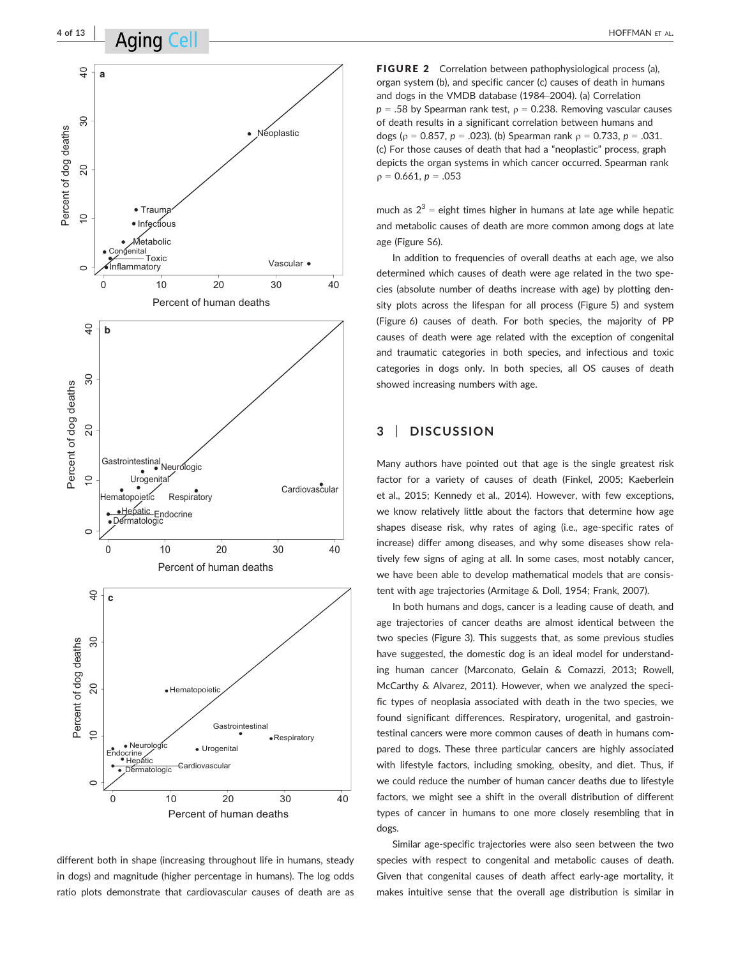

different both in shape (increasing throughout life in humans, steady in dogs) and magnitude (higher percentage in humans). The log odds ratio plots demonstrate that cardiovascular causes of death are as

FIGURE 2 Correlation between pathophysiological process (a), organ system (b), and specific cancer (c) causes of death in humans and dogs in the VMDB database (1984–2004). (a) Correlation  $p = .58$  by Spearman rank test,  $p = 0.238$ . Removing vascular causes of death results in a significant correlation between humans and dogs ( $\rho = 0.857$ ,  $p = .023$ ). (b) Spearman rank  $\rho = 0.733$ ,  $p = .031$ . (c) For those causes of death that had a "neoplastic" process, graph depicts the organ systems in which cancer occurred. Spearman rank  $p = 0.661, p = .053$ 

much as  $2^3$  = eight times higher in humans at late age while hepatic and metabolic causes of death are more common among dogs at late age (Figure S6).

In addition to frequencies of overall deaths at each age, we also determined which causes of death were age related in the two species (absolute number of deaths increase with age) by plotting density plots across the lifespan for all process (Figure 5) and system (Figure 6) causes of death. For both species, the majority of PP causes of death were age related with the exception of congenital and traumatic categories in both species, and infectious and toxic categories in dogs only. In both species, all OS causes of death showed increasing numbers with age.

### 3 | DISCUSSION

Many authors have pointed out that age is the single greatest risk factor for a variety of causes of death (Finkel, 2005; Kaeberlein et al., 2015; Kennedy et al., 2014). However, with few exceptions, we know relatively little about the factors that determine how age shapes disease risk, why rates of aging (i.e., age-specific rates of increase) differ among diseases, and why some diseases show relatively few signs of aging at all. In some cases, most notably cancer, we have been able to develop mathematical models that are consistent with age trajectories (Armitage & Doll, 1954; Frank, 2007).

In both humans and dogs, cancer is a leading cause of death, and age trajectories of cancer deaths are almost identical between the two species (Figure 3). This suggests that, as some previous studies have suggested, the domestic dog is an ideal model for understanding human cancer (Marconato, Gelain & Comazzi, 2013; Rowell, McCarthy & Alvarez, 2011). However, when we analyzed the specific types of neoplasia associated with death in the two species, we found significant differences. Respiratory, urogenital, and gastrointestinal cancers were more common causes of death in humans compared to dogs. These three particular cancers are highly associated with lifestyle factors, including smoking, obesity, and diet. Thus, if we could reduce the number of human cancer deaths due to lifestyle factors, we might see a shift in the overall distribution of different types of cancer in humans to one more closely resembling that in dogs.

Similar age-specific trajectories were also seen between the two species with respect to congenital and metabolic causes of death. Given that congenital causes of death affect early-age mortality, it makes intuitive sense that the overall age distribution is similar in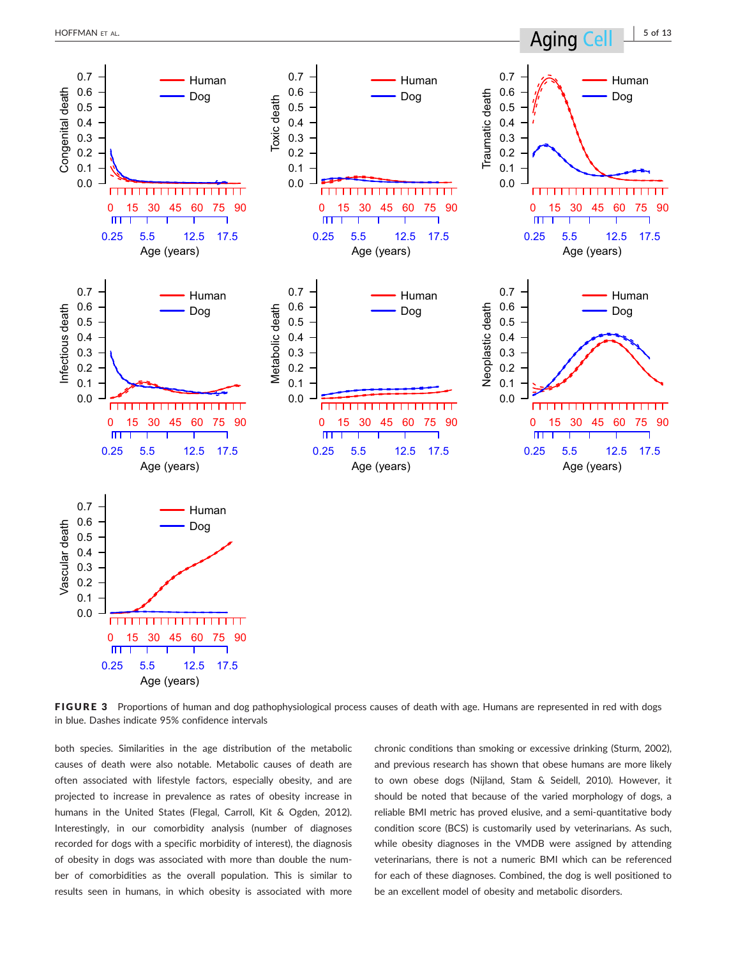

FIGURE 3 Proportions of human and dog pathophysiological process causes of death with age. Humans are represented in red with dogs in blue. Dashes indicate 95% confidence intervals

both species. Similarities in the age distribution of the metabolic causes of death were also notable. Metabolic causes of death are often associated with lifestyle factors, especially obesity, and are projected to increase in prevalence as rates of obesity increase in humans in the United States (Flegal, Carroll, Kit & Ogden, 2012). Interestingly, in our comorbidity analysis (number of diagnoses recorded for dogs with a specific morbidity of interest), the diagnosis of obesity in dogs was associated with more than double the number of comorbidities as the overall population. This is similar to results seen in humans, in which obesity is associated with more chronic conditions than smoking or excessive drinking (Sturm, 2002), and previous research has shown that obese humans are more likely to own obese dogs (Nijland, Stam & Seidell, 2010). However, it should be noted that because of the varied morphology of dogs, a reliable BMI metric has proved elusive, and a semi-quantitative body condition score (BCS) is customarily used by veterinarians. As such, while obesity diagnoses in the VMDB were assigned by attending veterinarians, there is not a numeric BMI which can be referenced for each of these diagnoses. Combined, the dog is well positioned to be an excellent model of obesity and metabolic disorders.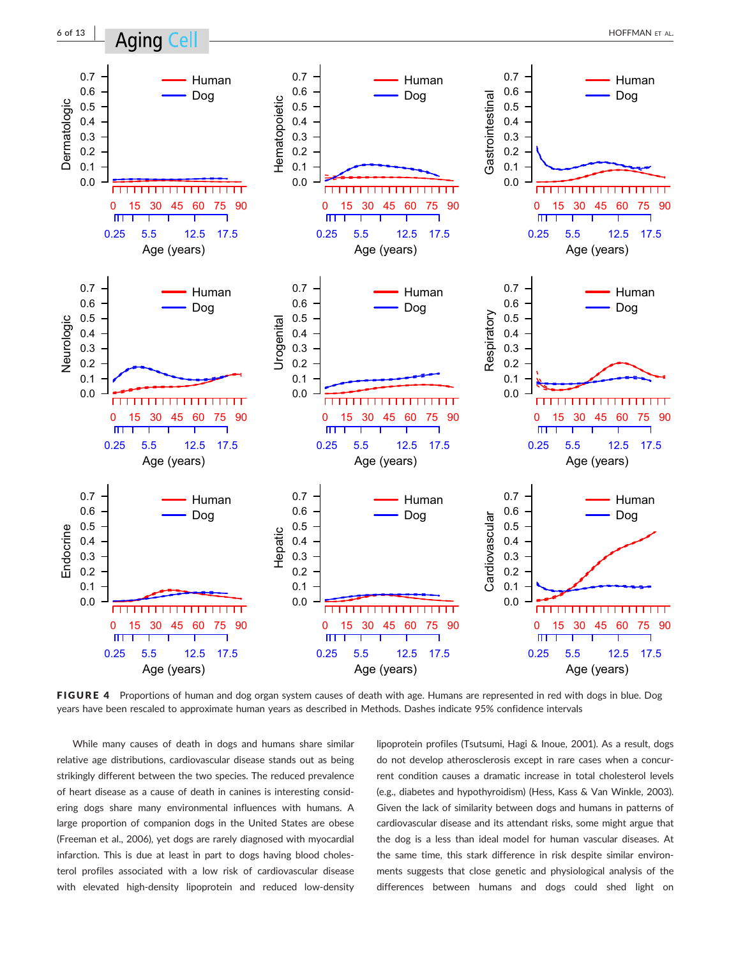

FIGURE 4 Proportions of human and dog organ system causes of death with age. Humans are represented in red with dogs in blue. Dog years have been rescaled to approximate human years as described in Methods. Dashes indicate 95% confidence intervals

While many causes of death in dogs and humans share similar relative age distributions, cardiovascular disease stands out as being strikingly different between the two species. The reduced prevalence of heart disease as a cause of death in canines is interesting considering dogs share many environmental influences with humans. A large proportion of companion dogs in the United States are obese (Freeman et al., 2006), yet dogs are rarely diagnosed with myocardial infarction. This is due at least in part to dogs having blood cholesterol profiles associated with a low risk of cardiovascular disease with elevated high-density lipoprotein and reduced low-density lipoprotein profiles (Tsutsumi, Hagi & Inoue, 2001). As a result, dogs do not develop atherosclerosis except in rare cases when a concurrent condition causes a dramatic increase in total cholesterol levels (e.g., diabetes and hypothyroidism) (Hess, Kass & Van Winkle, 2003). Given the lack of similarity between dogs and humans in patterns of cardiovascular disease and its attendant risks, some might argue that the dog is a less than ideal model for human vascular diseases. At the same time, this stark difference in risk despite similar environments suggests that close genetic and physiological analysis of the differences between humans and dogs could shed light on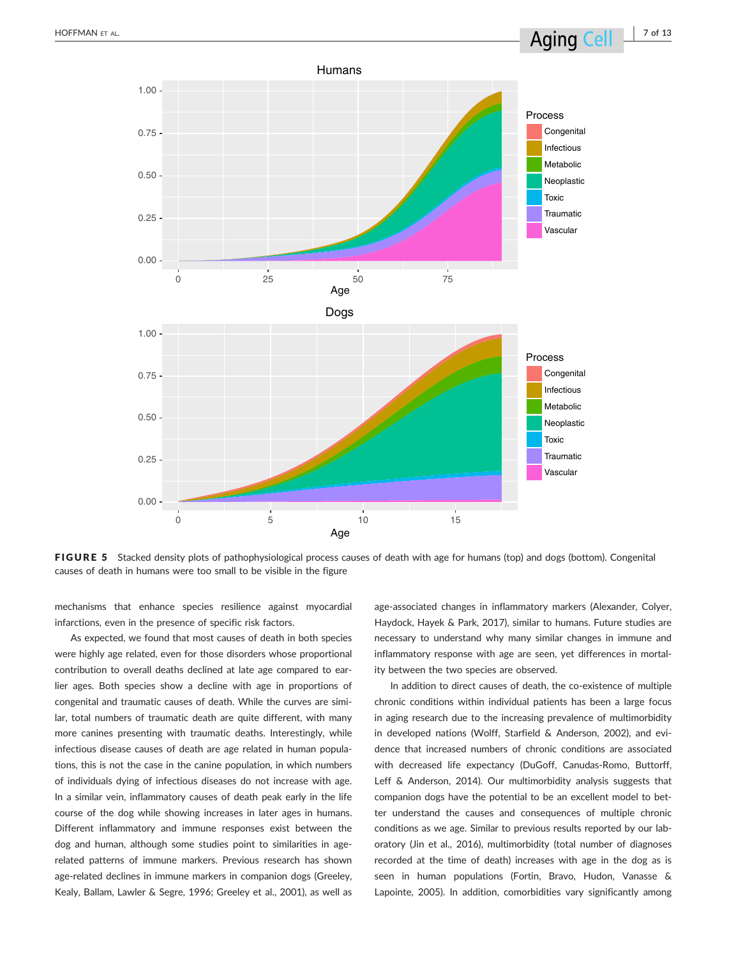

FIGURE 5 Stacked density plots of pathophysiological process causes of death with age for humans (top) and dogs (bottom). Congenital causes of death in humans were too small to be visible in the figure

mechanisms that enhance species resilience against myocardial infarctions, even in the presence of specific risk factors.

As expected, we found that most causes of death in both species were highly age related, even for those disorders whose proportional contribution to overall deaths declined at late age compared to earlier ages. Both species show a decline with age in proportions of congenital and traumatic causes of death. While the curves are similar, total numbers of traumatic death are quite different, with many more canines presenting with traumatic deaths. Interestingly, while infectious disease causes of death are age related in human populations, this is not the case in the canine population, in which numbers of individuals dying of infectious diseases do not increase with age. In a similar vein, inflammatory causes of death peak early in the life course of the dog while showing increases in later ages in humans. Different inflammatory and immune responses exist between the dog and human, although some studies point to similarities in agerelated patterns of immune markers. Previous research has shown age-related declines in immune markers in companion dogs (Greeley, Kealy, Ballam, Lawler & Segre, 1996; Greeley et al., 2001), as well as age-associated changes in inflammatory markers (Alexander, Colyer, Haydock, Hayek & Park, 2017), similar to humans. Future studies are necessary to understand why many similar changes in immune and inflammatory response with age are seen, yet differences in mortality between the two species are observed.

In addition to direct causes of death, the co-existence of multiple chronic conditions within individual patients has been a large focus in aging research due to the increasing prevalence of multimorbidity in developed nations (Wolff, Starfield & Anderson, 2002), and evidence that increased numbers of chronic conditions are associated with decreased life expectancy (DuGoff, Canudas-Romo, Buttorff, Leff & Anderson, 2014). Our multimorbidity analysis suggests that companion dogs have the potential to be an excellent model to better understand the causes and consequences of multiple chronic conditions as we age. Similar to previous results reported by our laboratory (Jin et al., 2016), multimorbidity (total number of diagnoses recorded at the time of death) increases with age in the dog as is seen in human populations (Fortin, Bravo, Hudon, Vanasse & Lapointe, 2005). In addition, comorbidities vary significantly among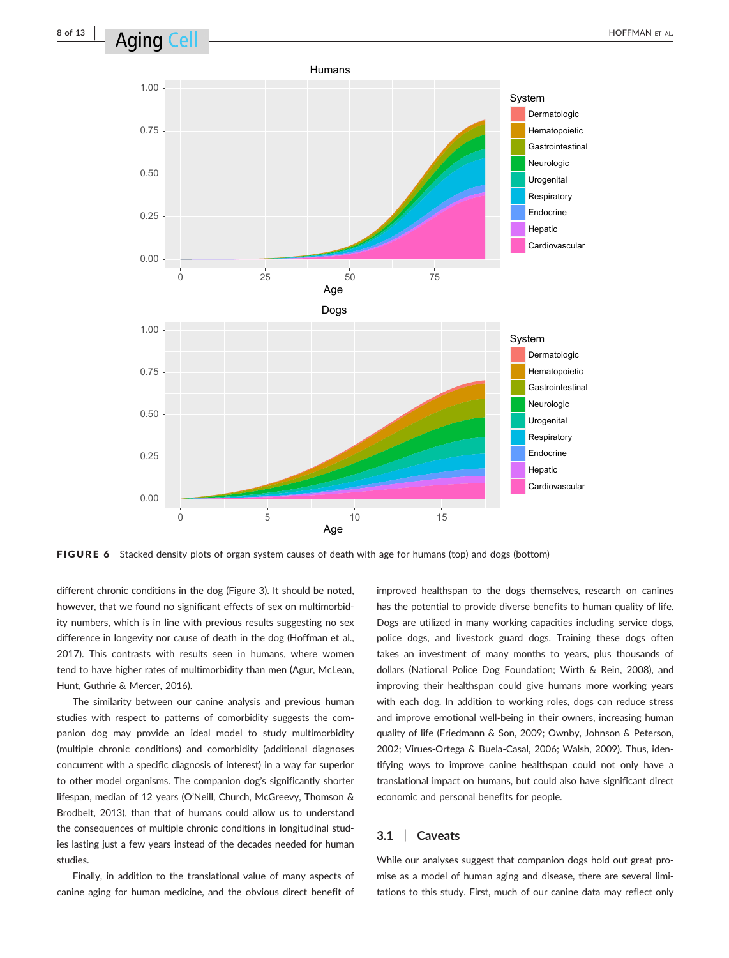

**FIGURE 6** Stacked density plots of organ system causes of death with age for humans (top) and dogs (bottom)

different chronic conditions in the dog (Figure 3). It should be noted, however, that we found no significant effects of sex on multimorbidity numbers, which is in line with previous results suggesting no sex difference in longevity nor cause of death in the dog (Hoffman et al., 2017). This contrasts with results seen in humans, where women tend to have higher rates of multimorbidity than men (Agur, McLean, Hunt, Guthrie & Mercer, 2016).

The similarity between our canine analysis and previous human studies with respect to patterns of comorbidity suggests the companion dog may provide an ideal model to study multimorbidity (multiple chronic conditions) and comorbidity (additional diagnoses concurrent with a specific diagnosis of interest) in a way far superior to other model organisms. The companion dog's significantly shorter lifespan, median of 12 years (O'Neill, Church, McGreevy, Thomson & Brodbelt, 2013), than that of humans could allow us to understand the consequences of multiple chronic conditions in longitudinal studies lasting just a few years instead of the decades needed for human studies.

Finally, in addition to the translational value of many aspects of canine aging for human medicine, and the obvious direct benefit of improved healthspan to the dogs themselves, research on canines has the potential to provide diverse benefits to human quality of life. Dogs are utilized in many working capacities including service dogs, police dogs, and livestock guard dogs. Training these dogs often takes an investment of many months to years, plus thousands of dollars (National Police Dog Foundation; Wirth & Rein, 2008), and improving their healthspan could give humans more working years with each dog. In addition to working roles, dogs can reduce stress and improve emotional well-being in their owners, increasing human quality of life (Friedmann & Son, 2009; Ownby, Johnson & Peterson, 2002; Virues-Ortega & Buela-Casal, 2006; Walsh, 2009). Thus, identifying ways to improve canine healthspan could not only have a translational impact on humans, but could also have significant direct economic and personal benefits for people.

### 3.1 | Caveats

While our analyses suggest that companion dogs hold out great promise as a model of human aging and disease, there are several limitations to this study. First, much of our canine data may reflect only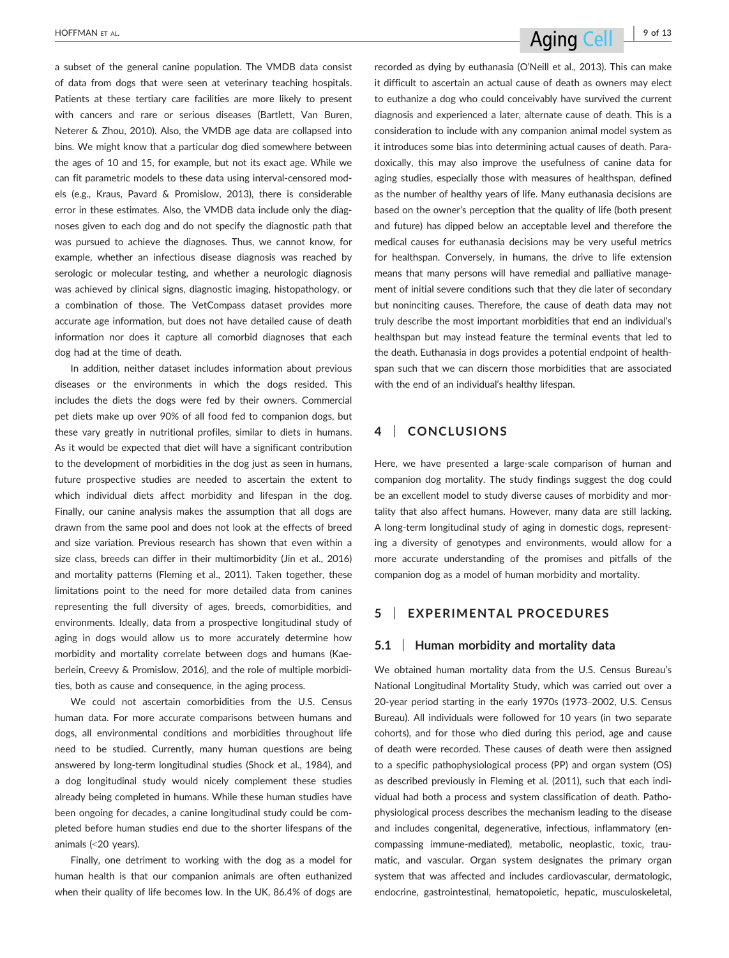a subset of the general canine population. The VMDB data consist of data from dogs that were seen at veterinary teaching hospitals. Patients at these tertiary care facilities are more likely to present with cancers and rare or serious diseases (Bartlett, Van Buren, Neterer & Zhou, 2010). Also, the VMDB age data are collapsed into bins. We might know that a particular dog died somewhere between the ages of 10 and 15, for example, but not its exact age. While we can fit parametric models to these data using interval-censored models (e.g., Kraus, Pavard & Promislow, 2013), there is considerable error in these estimates. Also, the VMDB data include only the diagnoses given to each dog and do not specify the diagnostic path that was pursued to achieve the diagnoses. Thus, we cannot know, for example, whether an infectious disease diagnosis was reached by serologic or molecular testing, and whether a neurologic diagnosis was achieved by clinical signs, diagnostic imaging, histopathology, or a combination of those. The VetCompass dataset provides more accurate age information, but does not have detailed cause of death information nor does it capture all comorbid diagnoses that each dog had at the time of death.

In addition, neither dataset includes information about previous diseases or the environments in which the dogs resided. This includes the diets the dogs were fed by their owners. Commercial pet diets make up over 90% of all food fed to companion dogs, but these vary greatly in nutritional profiles, similar to diets in humans. As it would be expected that diet will have a significant contribution to the development of morbidities in the dog just as seen in humans, future prospective studies are needed to ascertain the extent to which individual diets affect morbidity and lifespan in the dog. Finally, our canine analysis makes the assumption that all dogs are drawn from the same pool and does not look at the effects of breed and size variation. Previous research has shown that even within a size class, breeds can differ in their multimorbidity (Jin et al., 2016) and mortality patterns (Fleming et al., 2011). Taken together, these limitations point to the need for more detailed data from canines representing the full diversity of ages, breeds, comorbidities, and environments. Ideally, data from a prospective longitudinal study of aging in dogs would allow us to more accurately determine how morbidity and mortality correlate between dogs and humans (Kaeberlein, Creevy & Promislow, 2016), and the role of multiple morbidities, both as cause and consequence, in the aging process.

We could not ascertain comorbidities from the U.S. Census human data. For more accurate comparisons between humans and dogs, all environmental conditions and morbidities throughout life need to be studied. Currently, many human questions are being answered by long-term longitudinal studies (Shock et al., 1984), and a dog longitudinal study would nicely complement these studies already being completed in humans. While these human studies have been ongoing for decades, a canine longitudinal study could be completed before human studies end due to the shorter lifespans of the animals (<20 years).

Finally, one detriment to working with the dog as a model for human health is that our companion animals are often euthanized when their quality of life becomes low. In the UK, 86.4% of dogs are recorded as dying by euthanasia (O'Neill et al., 2013). This can make it difficult to ascertain an actual cause of death as owners may elect to euthanize a dog who could conceivably have survived the current diagnosis and experienced a later, alternate cause of death. This is a consideration to include with any companion animal model system as it introduces some bias into determining actual causes of death. Paradoxically, this may also improve the usefulness of canine data for aging studies, especially those with measures of healthspan, defined as the number of healthy years of life. Many euthanasia decisions are based on the owner's perception that the quality of life (both present and future) has dipped below an acceptable level and therefore the medical causes for euthanasia decisions may be very useful metrics for healthspan. Conversely, in humans, the drive to life extension means that many persons will have remedial and palliative management of initial severe conditions such that they die later of secondary but noninciting causes. Therefore, the cause of death data may not truly describe the most important morbidities that end an individual's healthspan but may instead feature the terminal events that led to the death. Euthanasia in dogs provides a potential endpoint of healthspan such that we can discern those morbidities that are associated with the end of an individual's healthy lifespan.

### 4 | CONCLUSIONS

Here, we have presented a large-scale comparison of human and companion dog mortality. The study findings suggest the dog could be an excellent model to study diverse causes of morbidity and mortality that also affect humans. However, many data are still lacking. A long-term longitudinal study of aging in domestic dogs, representing a diversity of genotypes and environments, would allow for a more accurate understanding of the promises and pitfalls of the companion dog as a model of human morbidity and mortality.

### 5 | EXPERIMENTAL PROCEDURES

### 5.1 | Human morbidity and mortality data

We obtained human mortality data from the U.S. Census Bureau's National Longitudinal Mortality Study, which was carried out over a 20-year period starting in the early 1970s (1973–2002, U.S. Census Bureau). All individuals were followed for 10 years (in two separate cohorts), and for those who died during this period, age and cause of death were recorded. These causes of death were then assigned to a specific pathophysiological process (PP) and organ system (OS) as described previously in Fleming et al. (2011), such that each individual had both a process and system classification of death. Pathophysiological process describes the mechanism leading to the disease and includes congenital, degenerative, infectious, inflammatory (encompassing immune-mediated), metabolic, neoplastic, toxic, traumatic, and vascular. Organ system designates the primary organ system that was affected and includes cardiovascular, dermatologic, endocrine, gastrointestinal, hematopoietic, hepatic, musculoskeletal,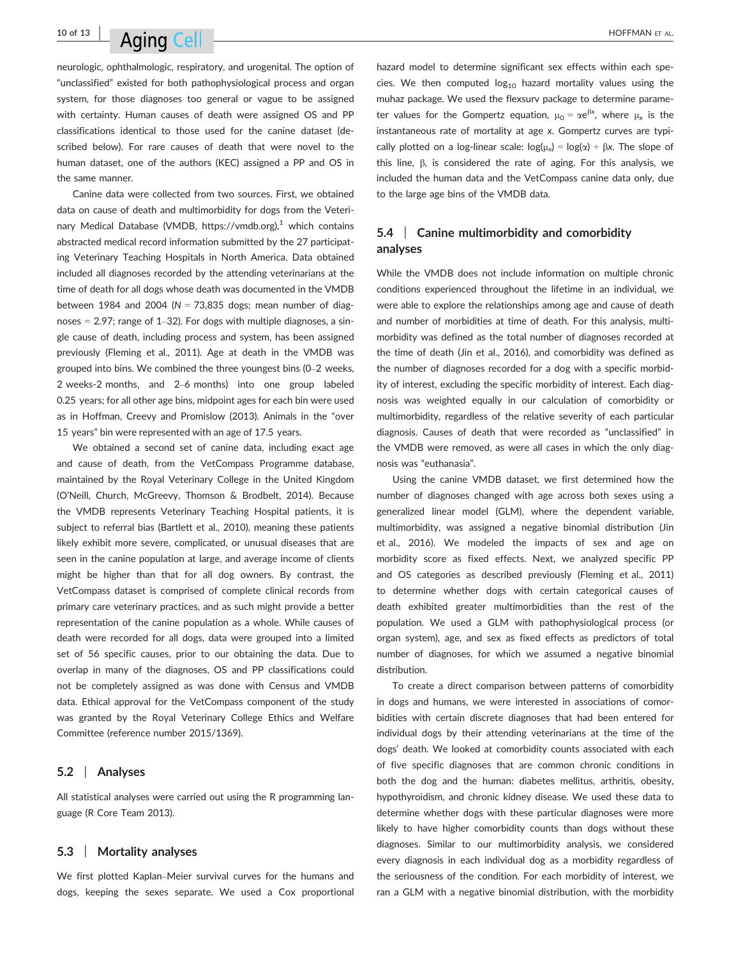# $10$  of 13  $\blacksquare$   $\blacksquare$   $\blacksquare$   $\blacksquare$   $\blacksquare$   $\blacksquare$   $\blacksquare$   $\blacksquare$   $\blacksquare$   $\blacksquare$   $\blacksquare$   $\blacksquare$   $\blacksquare$   $\blacksquare$   $\blacksquare$   $\blacksquare$   $\blacksquare$   $\blacksquare$   $\blacksquare$   $\blacksquare$   $\blacksquare$   $\blacksquare$   $\blacksquare$   $\blacksquare$   $\blacksquare$   $\blacksquare$   $\blacksquare$   $\blacksquare$   $\blacksquare$   $\blacksquare$

neurologic, ophthalmologic, respiratory, and urogenital. The option of "unclassified" existed for both pathophysiological process and organ system, for those diagnoses too general or vague to be assigned with certainty. Human causes of death were assigned OS and PP classifications identical to those used for the canine dataset (described below). For rare causes of death that were novel to the human dataset, one of the authors (KEC) assigned a PP and OS in the same manner.

Canine data were collected from two sources. First, we obtained data on cause of death and multimorbidity for dogs from the Veterinary Medical Database (VMDB,<https://vmdb.org>),<sup>1</sup> which contains abstracted medical record information submitted by the 27 participating Veterinary Teaching Hospitals in North America. Data obtained included all diagnoses recorded by the attending veterinarians at the time of death for all dogs whose death was documented in the VMDB between 1984 and 2004 ( $N = 73,835$  dogs; mean number of diagnoses  $= 2.97$ ; range of 1–32). For dogs with multiple diagnoses, a single cause of death, including process and system, has been assigned previously (Fleming et al., 2011). Age at death in the VMDB was grouped into bins. We combined the three youngest bins (0–2 weeks, 2 weeks-2 months, and 2–6 months) into one group labeled 0.25 years; for all other age bins, midpoint ages for each bin were used as in Hoffman, Creevy and Promislow (2013). Animals in the "over 15 years" bin were represented with an age of 17.5 years.

We obtained a second set of canine data, including exact age and cause of death, from the VetCompass Programme database, maintained by the Royal Veterinary College in the United Kingdom (O'Neill, Church, McGreevy, Thomson & Brodbelt, 2014). Because the VMDB represents Veterinary Teaching Hospital patients, it is subject to referral bias (Bartlett et al., 2010), meaning these patients likely exhibit more severe, complicated, or unusual diseases that are seen in the canine population at large, and average income of clients might be higher than that for all dog owners. By contrast, the VetCompass dataset is comprised of complete clinical records from primary care veterinary practices, and as such might provide a better representation of the canine population as a whole. While causes of death were recorded for all dogs, data were grouped into a limited set of 56 specific causes, prior to our obtaining the data. Due to overlap in many of the diagnoses, OS and PP classifications could not be completely assigned as was done with Census and VMDB data. Ethical approval for the VetCompass component of the study was granted by the Royal Veterinary College Ethics and Welfare Committee (reference number 2015/1369).

#### 5.2 | Analyses

All statistical analyses were carried out using the R programming language (R Core Team 2013).

#### 5.3 | Mortality analyses

We first plotted Kaplan–Meier survival curves for the humans and dogs, keeping the sexes separate. We used a Cox proportional hazard model to determine significant sex effects within each species. We then computed  $log_{10}$  hazard mortality values using the muhaz package. We used the flexsurv package to determine parameter values for the Gompertz equation,  $\mu_0 = \alpha e^{\beta x}$ , where  $\mu_x$  is the instantaneous rate of mortality at age x. Gompertz curves are typically plotted on a log-linear scale:  $log(\mu_x) = log(\alpha) + \beta x$ . The slope of this line,  $\beta$ , is considered the rate of aging. For this analysis, we included the human data and the VetCompass canine data only, due to the large age bins of the VMDB data.

### 5.4 Canine multimorbidity and comorbidity analyses

While the VMDB does not include information on multiple chronic conditions experienced throughout the lifetime in an individual, we were able to explore the relationships among age and cause of death and number of morbidities at time of death. For this analysis, multimorbidity was defined as the total number of diagnoses recorded at the time of death (Jin et al., 2016), and comorbidity was defined as the number of diagnoses recorded for a dog with a specific morbidity of interest, excluding the specific morbidity of interest. Each diagnosis was weighted equally in our calculation of comorbidity or multimorbidity, regardless of the relative severity of each particular diagnosis. Causes of death that were recorded as "unclassified" in the VMDB were removed, as were all cases in which the only diagnosis was "euthanasia".

Using the canine VMDB dataset, we first determined how the number of diagnoses changed with age across both sexes using a generalized linear model (GLM), where the dependent variable, multimorbidity, was assigned a negative binomial distribution (Jin et al., 2016). We modeled the impacts of sex and age on morbidity score as fixed effects. Next, we analyzed specific PP and OS categories as described previously (Fleming et al., 2011) to determine whether dogs with certain categorical causes of death exhibited greater multimorbidities than the rest of the population. We used a GLM with pathophysiological process (or organ system), age, and sex as fixed effects as predictors of total number of diagnoses, for which we assumed a negative binomial distribution.

To create a direct comparison between patterns of comorbidity in dogs and humans, we were interested in associations of comorbidities with certain discrete diagnoses that had been entered for individual dogs by their attending veterinarians at the time of the dogs' death. We looked at comorbidity counts associated with each of five specific diagnoses that are common chronic conditions in both the dog and the human: diabetes mellitus, arthritis, obesity, hypothyroidism, and chronic kidney disease. We used these data to determine whether dogs with these particular diagnoses were more likely to have higher comorbidity counts than dogs without these diagnoses. Similar to our multimorbidity analysis, we considered every diagnosis in each individual dog as a morbidity regardless of the seriousness of the condition. For each morbidity of interest, we ran a GLM with a negative binomial distribution, with the morbidity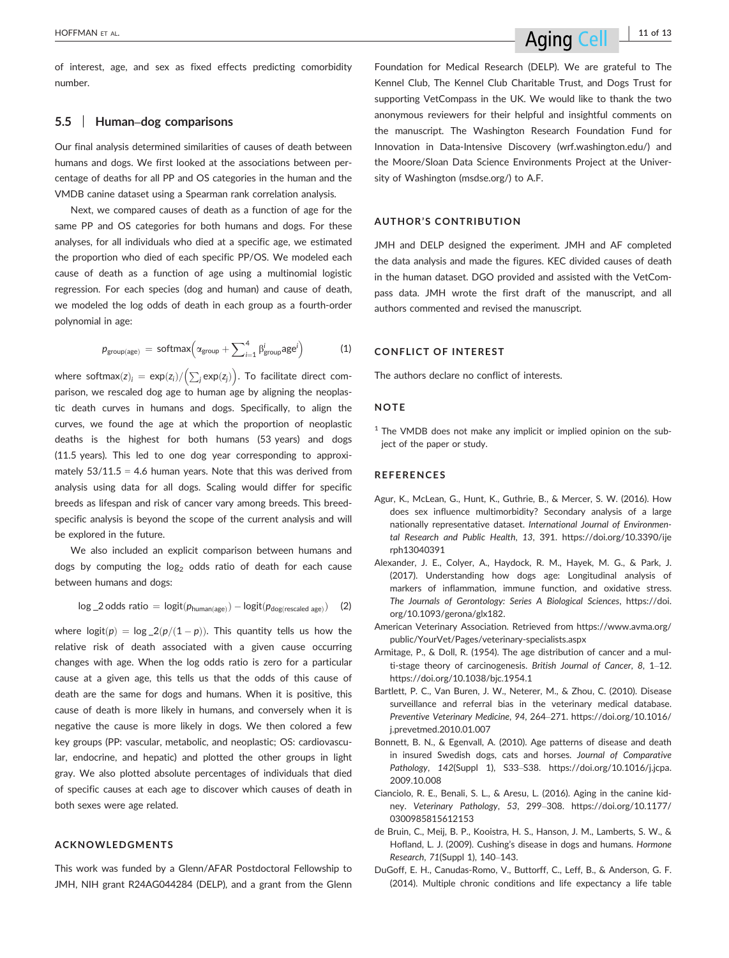of interest, age, and sex as fixed effects predicting comorbidity number.

### 5.5 | Human–dog comparisons

Our final analysis determined similarities of causes of death between humans and dogs. We first looked at the associations between percentage of deaths for all PP and OS categories in the human and the VMDB canine dataset using a Spearman rank correlation analysis.

Next, we compared causes of death as a function of age for the same PP and OS categories for both humans and dogs. For these analyses, for all individuals who died at a specific age, we estimated the proportion who died of each specific PP/OS. We modeled each cause of death as a function of age using a multinomial logistic regression. For each species (dog and human) and cause of death, we modeled the log odds of death in each group as a fourth-order polynomial in age:

$$
\textit{p}_{\text{group(age)}} \, = \, \text{softmax}\Big(\alpha_{\text{group}} + \sum\nolimits_{i=1}^{4} \beta_{\text{group}}^{i} a \text{ge}^{i}\Big) \hspace{4em}\text{(1)}
$$

where softmax $(\mathsf{z})_i = \mathsf{exp}(\mathsf{z}_i) / \Bigl( \sum_j \mathsf{exp}(\mathsf{z}_j) \Bigr).$  To facilitate direct comparison, we rescaled dog age to human age by aligning the neoplastic death curves in humans and dogs. Specifically, to align the curves, we found the age at which the proportion of neoplastic deaths is the highest for both humans (53 years) and dogs (11.5 years). This led to one dog year corresponding to approximately  $53/11.5 = 4.6$  human years. Note that this was derived from analysis using data for all dogs. Scaling would differ for specific breeds as lifespan and risk of cancer vary among breeds. This breedspecific analysis is beyond the scope of the current analysis and will be explored in the future.

We also included an explicit comparison between humans and dogs by computing the  $log_2$  odds ratio of death for each cause between humans and dogs:

$$
\text{log\_2 odds ratio = logit}(\textit{p}_{\text{human(age)}}) - \text{logit}(\textit{p}_{\text{dog(rescaled age})}) \quad (2)
$$

where  $\text{logit}(p) = \log_2( p/(1-p)).$  This quantity tells us how the relative risk of death associated with a given cause occurring changes with age. When the log odds ratio is zero for a particular cause at a given age, this tells us that the odds of this cause of death are the same for dogs and humans. When it is positive, this cause of death is more likely in humans, and conversely when it is negative the cause is more likely in dogs. We then colored a few key groups (PP: vascular, metabolic, and neoplastic; OS: cardiovascular, endocrine, and hepatic) and plotted the other groups in light gray. We also plotted absolute percentages of individuals that died of specific causes at each age to discover which causes of death in both sexes were age related.

### ACKNOWLEDGMENTS

This work was funded by a Glenn/AFAR Postdoctoral Fellowship to JMH, NIH grant R24AG044284 (DELP), and a grant from the Glenn Foundation for Medical Research (DELP). We are grateful to The Kennel Club, The Kennel Club Charitable Trust, and Dogs Trust for supporting VetCompass in the UK. We would like to thank the two anonymous reviewers for their helpful and insightful comments on the manuscript. The Washington Research Foundation Fund for Innovation in Data-Intensive Discovery (wrf.washington.edu/) and the Moore/Sloan Data Science Environments Project at the University of Washington (msdse.org/) to A.F.

### AUTHOR'S CONTRIBUTION

JMH and DELP designed the experiment. JMH and AF completed the data analysis and made the figures. KEC divided causes of death in the human dataset. DGO provided and assisted with the VetCompass data. JMH wrote the first draft of the manuscript, and all authors commented and revised the manuscript.

### CONFLICT OF INTEREST

The authors declare no conflict of interests.

#### **NOTE**

 $1$  The VMDB does not make any implicit or implied opinion on the subject of the paper or study.

#### **REFERENCES**

- Agur, K., McLean, G., Hunt, K., Guthrie, B., & Mercer, S. W. (2016). How does sex influence multimorbidity? Secondary analysis of a large nationally representative dataset. International Journal of Environmental Research and Public Health, 13, 391. [https://doi.org/10.3390/ije](https://doi.org/10.3390/ijerph13040391) [rph13040391](https://doi.org/10.3390/ijerph13040391)
- Alexander, J. E., Colyer, A., Haydock, R. M., Hayek, M. G., & Park, J. (2017). Understanding how dogs age: Longitudinal analysis of markers of inflammation, immune function, and oxidative stress. The Journals of Gerontology: Series A Biological Sciences, [https://doi.](https://doi.org/10.1093/gerona/glx182) [org/10.1093/gerona/glx182](https://doi.org/10.1093/gerona/glx182).
- American Veterinary Association. Retrieved from [https://www.avma.org/](https://www.avma.org/public/YourVet/Pages/veterinary-specialists.aspx) [public/YourVet/Pages/veterinary-specialists.aspx](https://www.avma.org/public/YourVet/Pages/veterinary-specialists.aspx)
- Armitage, P., & Doll, R. (1954). The age distribution of cancer and a multi-stage theory of carcinogenesis. British Journal of Cancer, 8, 1–12. <https://doi.org/10.1038/bjc.1954.1>
- Bartlett, P. C., Van Buren, J. W., Neterer, M., & Zhou, C. (2010). Disease surveillance and referral bias in the veterinary medical database. Preventive Veterinary Medicine, 94, 264–271. [https://doi.org/10.1016/](https://doi.org/10.1016/j.prevetmed.2010.01.007) [j.prevetmed.2010.01.007](https://doi.org/10.1016/j.prevetmed.2010.01.007)
- Bonnett, B. N., & Egenvall, A. (2010). Age patterns of disease and death in insured Swedish dogs, cats and horses. Journal of Comparative Pathology, 142(Suppl 1), S33–S38. [https://doi.org/10.1016/j.jcpa.](https://doi.org/10.1016/j.jcpa.2009.10.008) [2009.10.008](https://doi.org/10.1016/j.jcpa.2009.10.008)
- Cianciolo, R. E., Benali, S. L., & Aresu, L. (2016). Aging in the canine kidney. Veterinary Pathology, 53, 299–308. [https://doi.org/10.1177/](https://doi.org/10.1177/0300985815612153) [0300985815612153](https://doi.org/10.1177/0300985815612153)
- de Bruin, C., Meij, B. P., Kooistra, H. S., Hanson, J. M., Lamberts, S. W., & Hofland, L. J. (2009). Cushing's disease in dogs and humans. Hormone Research, 71(Suppl 1), 140–143.
- DuGoff, E. H., Canudas-Romo, V., Buttorff, C., Leff, B., & Anderson, G. F. (2014). Multiple chronic conditions and life expectancy a life table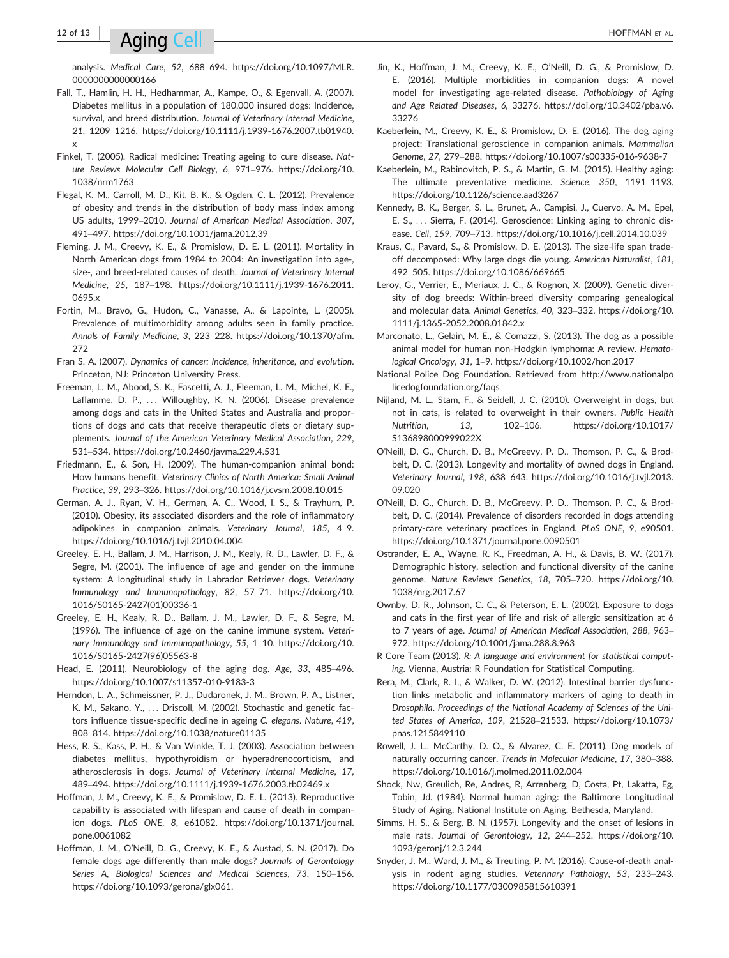# $12$  of  $13$  |  $\Lambda$   $\alpha$  |  $\alpha$  |  $\alpha$  |  $\alpha$  |  $\alpha$  |  $\alpha$  |  $\alpha$  |  $\alpha$  |  $\alpha$  |  $\alpha$  |  $\alpha$  |  $\alpha$  |  $\alpha$  |  $\alpha$  |  $\alpha$  |  $\alpha$  |  $\alpha$  |  $\alpha$  |  $\alpha$  |  $\alpha$  |  $\alpha$  |  $\alpha$  |  $\alpha$  |  $\alpha$  |  $\alpha$  |  $\alpha$  |  $\alpha$  |  $\alpha$  |  $\alpha$

analysis. Medical Care, 52, 688–694. [https://doi.org/10.1097/MLR.](https://doi.org/10.1097/MLR.0000000000000166) [0000000000000166](https://doi.org/10.1097/MLR.0000000000000166)

- Fall, T., Hamlin, H. H., Hedhammar, A., Kampe, O., & Egenvall, A. (2007). Diabetes mellitus in a population of 180,000 insured dogs: Incidence, survival, and breed distribution. Journal of Veterinary Internal Medicine, 21, 1209–1216. [https://doi.org/10.1111/j.1939-1676.2007.tb01940.](https://doi.org/10.1111/j.1939-1676.2007.tb01940.x) [x](https://doi.org/10.1111/j.1939-1676.2007.tb01940.x)
- Finkel, T. (2005). Radical medicine: Treating ageing to cure disease. Nature Reviews Molecular Cell Biology, 6, 971–976. [https://doi.org/10.](https://doi.org/10.1038/nrm1763) [1038/nrm1763](https://doi.org/10.1038/nrm1763)
- Flegal, K. M., Carroll, M. D., Kit, B. K., & Ogden, C. L. (2012). Prevalence of obesity and trends in the distribution of body mass index among US adults, 1999–2010. Journal of American Medical Association, 307, 491–497.<https://doi.org/10.1001/jama.2012.39>
- Fleming, J. M., Creevy, K. E., & Promislow, D. E. L. (2011). Mortality in North American dogs from 1984 to 2004: An investigation into age-, size-, and breed-related causes of death. Journal of Veterinary Internal Medicine, 25, 187–198. [https://doi.org/10.1111/j.1939-1676.2011.](https://doi.org/10.1111/j.1939-1676.2011.0695.x) [0695.x](https://doi.org/10.1111/j.1939-1676.2011.0695.x)
- Fortin, M., Bravo, G., Hudon, C., Vanasse, A., & Lapointe, L. (2005). Prevalence of multimorbidity among adults seen in family practice. Annals of Family Medicine, 3, 223–228. [https://doi.org/10.1370/afm.](https://doi.org/10.1370/afm.272) [272](https://doi.org/10.1370/afm.272)
- Fran S. A. (2007). Dynamics of cancer: Incidence, inheritance, and evolution. Princeton, NJ: Princeton University Press.
- Freeman, L. M., Abood, S. K., Fascetti, A. J., Fleeman, L. M., Michel, K. E., Laflamme, D. P., ... Willoughby, K. N. (2006). Disease prevalence among dogs and cats in the United States and Australia and proportions of dogs and cats that receive therapeutic diets or dietary supplements. Journal of the American Veterinary Medical Association, 229, 531–534.<https://doi.org/10.2460/javma.229.4.531>
- Friedmann, E., & Son, H. (2009). The human-companion animal bond: How humans benefit. Veterinary Clinics of North America: Small Animal Practice, 39, 293–326.<https://doi.org/10.1016/j.cvsm.2008.10.015>
- German, A. J., Ryan, V. H., German, A. C., Wood, I. S., & Trayhurn, P. (2010). Obesity, its associated disorders and the role of inflammatory adipokines in companion animals. Veterinary Journal, 185, 4–9. <https://doi.org/10.1016/j.tvjl.2010.04.004>
- Greeley, E. H., Ballam, J. M., Harrison, J. M., Kealy, R. D., Lawler, D. F., & Segre, M. (2001). The influence of age and gender on the immune system: A longitudinal study in Labrador Retriever dogs. Veterinary Immunology and Immunopathology, 82, 57–71. [https://doi.org/10.](https://doi.org/10.1016/S0165-2427(01)00336-1) [1016/S0165-2427\(01\)00336-1](https://doi.org/10.1016/S0165-2427(01)00336-1)
- Greeley, E. H., Kealy, R. D., Ballam, J. M., Lawler, D. F., & Segre, M. (1996). The influence of age on the canine immune system. Veterinary Immunology and Immunopathology, 55, 1–10. [https://doi.org/10.](https://doi.org/10.1016/S0165-2427(96)05563-8) [1016/S0165-2427\(96\)05563-8](https://doi.org/10.1016/S0165-2427(96)05563-8)
- Head, E. (2011). Neurobiology of the aging dog. Age, 33, 485–496. <https://doi.org/10.1007/s11357-010-9183-3>
- Herndon, L. A., Schmeissner, P. J., Dudaronek, J. M., Brown, P. A., Listner, K. M., Sakano, Y., ... Driscoll, M. (2002). Stochastic and genetic factors influence tissue-specific decline in ageing C. elegans. Nature, 419, 808–814.<https://doi.org/10.1038/nature01135>
- Hess, R. S., Kass, P. H., & Van Winkle, T. J. (2003). Association between diabetes mellitus, hypothyroidism or hyperadrenocorticism, and atherosclerosis in dogs. Journal of Veterinary Internal Medicine, 17, 489–494.<https://doi.org/10.1111/j.1939-1676.2003.tb02469.x>
- Hoffman, J. M., Creevy, K. E., & Promislow, D. E. L. (2013). Reproductive capability is associated with lifespan and cause of death in companion dogs. PLoS ONE, 8, e61082. [https://doi.org/10.1371/journal.](https://doi.org/10.1371/journal.pone.0061082) [pone.0061082](https://doi.org/10.1371/journal.pone.0061082)
- Hoffman, J. M., O'Neill, D. G., Creevy, K. E., & Austad, S. N. (2017). Do female dogs age differently than male dogs? Journals of Gerontology Series A, Biological Sciences and Medical Sciences, 73, 150–156. [https://doi.org/10.1093/gerona/glx061.](https://doi.org/10.1093/gerona/glx061)
- Jin, K., Hoffman, J. M., Creevy, K. E., O'Neill, D. G., & Promislow, D. E. (2016). Multiple morbidities in companion dogs: A novel model for investigating age-related disease. Pathobiology of Aging and Age Related Diseases, 6, 33276. [https://doi.org/10.3402/pba.v6.](https://doi.org/10.3402/pba.v6.33276) [33276](https://doi.org/10.3402/pba.v6.33276)
- Kaeberlein, M., Creevy, K. E., & Promislow, D. E. (2016). The dog aging project: Translational geroscience in companion animals. Mammalian Genome, 27, 279–288.<https://doi.org/10.1007/s00335-016-9638-7>
- Kaeberlein, M., Rabinovitch, P. S., & Martin, G. M. (2015). Healthy aging: The ultimate preventative medicine. Science, 350, 1191–1193. <https://doi.org/10.1126/science.aad3267>
- Kennedy, B. K., Berger, S. L., Brunet, A., Campisi, J., Cuervo, A. M., Epel, E. S., ... Sierra, F. (2014). Geroscience: Linking aging to chronic disease. Cell, 159, 709–713.<https://doi.org/10.1016/j.cell.2014.10.039>
- Kraus, C., Pavard, S., & Promislow, D. E. (2013). The size-life span tradeoff decomposed: Why large dogs die young. American Naturalist, 181, 492–505.<https://doi.org/10.1086/669665>
- Leroy, G., Verrier, E., Meriaux, J. C., & Rognon, X. (2009). Genetic diversity of dog breeds: Within-breed diversity comparing genealogical and molecular data. Animal Genetics, 40, 323–332. [https://doi.org/10.](https://doi.org/10.1111/j.1365-2052.2008.01842.x) [1111/j.1365-2052.2008.01842.x](https://doi.org/10.1111/j.1365-2052.2008.01842.x)
- Marconato, L., Gelain, M. E., & Comazzi, S. (2013). The dog as a possible animal model for human non-Hodgkin lymphoma: A review. Hematological Oncology, 31, 1–9.<https://doi.org/10.1002/hon.2017>
- National Police Dog Foundation. Retrieved from [http://www.nationalpo](http://www.nationalpolicedogfoundation.org/faqs) [licedogfoundation.org/faqs](http://www.nationalpolicedogfoundation.org/faqs)
- Nijland, M. L., Stam, F., & Seidell, J. C. (2010). Overweight in dogs, but not in cats, is related to overweight in their owners. Public Health Nutrition, 13, 102–106. [https://doi.org/10.1017/](https://doi.org/10.1017/S136898000999022X) [S136898000999022X](https://doi.org/10.1017/S136898000999022X)
- O'Neill, D. G., Church, D. B., McGreevy, P. D., Thomson, P. C., & Brodbelt, D. C. (2013). Longevity and mortality of owned dogs in England. Veterinary Journal, 198, 638–643. [https://doi.org/10.1016/j.tvjl.2013.](https://doi.org/10.1016/j.tvjl.2013.09.020) [09.020](https://doi.org/10.1016/j.tvjl.2013.09.020)
- O'Neill, D. G., Church, D. B., McGreevy, P. D., Thomson, P. C., & Brodbelt, D. C. (2014). Prevalence of disorders recorded in dogs attending primary-care veterinary practices in England. PLoS ONE, 9, e90501. <https://doi.org/10.1371/journal.pone.0090501>
- Ostrander, E. A., Wayne, R. K., Freedman, A. H., & Davis, B. W. (2017). Demographic history, selection and functional diversity of the canine genome. Nature Reviews Genetics, 18, 705–720. [https://doi.org/10.](https://doi.org/10.1038/nrg.2017.67) [1038/nrg.2017.67](https://doi.org/10.1038/nrg.2017.67)
- Ownby, D. R., Johnson, C. C., & Peterson, E. L. (2002). Exposure to dogs and cats in the first year of life and risk of allergic sensitization at 6 to 7 years of age. Journal of American Medical Association, 288, 963– 972.<https://doi.org/10.1001/jama.288.8.963>
- R Core Team (2013). R: A language and environment for statistical computing. Vienna, Austria: R Foundation for Statistical Computing.
- Rera, M., Clark, R. I., & Walker, D. W. (2012). Intestinal barrier dysfunction links metabolic and inflammatory markers of aging to death in Drosophila. Proceedings of the National Academy of Sciences of the United States of America, 109, 21528–21533. [https://doi.org/10.1073/](https://doi.org/10.1073/pnas.1215849110) [pnas.1215849110](https://doi.org/10.1073/pnas.1215849110)
- Rowell, J. L., McCarthy, D. O., & Alvarez, C. E. (2011). Dog models of naturally occurring cancer. Trends in Molecular Medicine, 17, 380–388. <https://doi.org/10.1016/j.molmed.2011.02.004>
- Shock, Nw, Greulich, Re, Andres, R, Arrenberg, D, Costa, Pt, Lakatta, Eg, Tobin, Jd. (1984). Normal human aging: the Baltimore Longitudinal Study of Aging. National Institute on Aging. Bethesda, Maryland.
- Simms, H. S., & Berg, B. N. (1957). Longevity and the onset of lesions in male rats. Journal of Gerontology, 12, 244–252. [https://doi.org/10.](https://doi.org/10.1093/geronj/12.3.244) [1093/geronj/12.3.244](https://doi.org/10.1093/geronj/12.3.244)
- Snyder, J. M., Ward, J. M., & Treuting, P. M. (2016). Cause-of-death analysis in rodent aging studies. Veterinary Pathology, 53, 233–243. <https://doi.org/10.1177/0300985815610391>